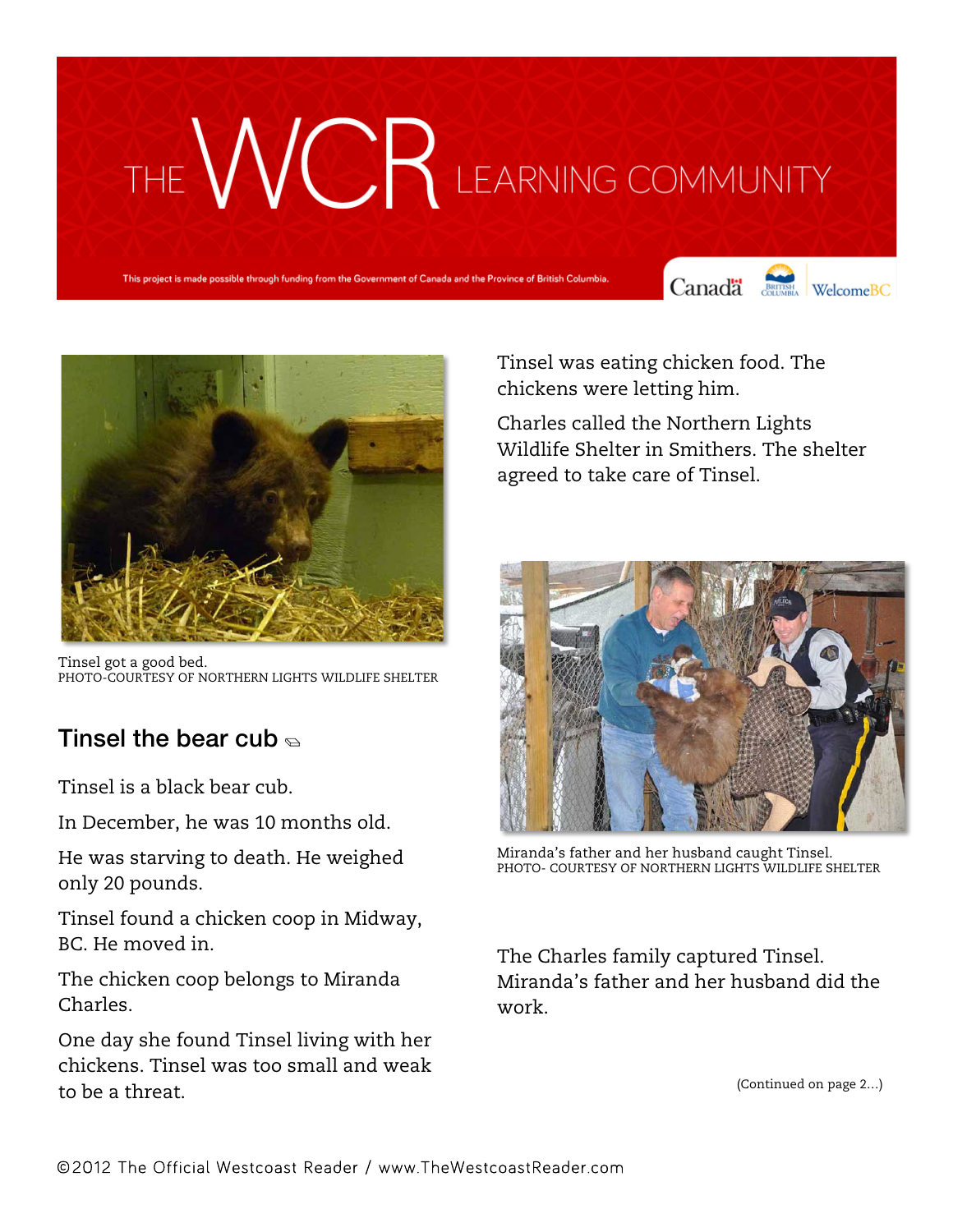## THE WCR LEARNING COMMUNITY

This project is made possible through funding from the Government of Canada and the Province of British Colun





Tinsel got a good bed. PHOTO-COURTESY OF NORTHERN LIGHTS WILDLIFE SHELTER

## Tinsel the bear cub  $\epsilon$

Tinsel is a black bear cub.

In December, he was 10 months old.

He was starving to death. He weighed only 20 pounds.

Tinsel found a chicken coop in Midway, BC. He moved in.

The chicken coop belongs to Miranda Charles.

One day she found Tinsel living with her chickens. Tinsel was too small and weak to be a threat.

Tinsel was eating chicken food. The chickens were letting him.

Charles called the Northern Lights Wildlife Shelter in Smithers. The shelter agreed to take care of Tinsel.



Miranda's father and her husband caught Tinsel. PHOTO- COURTESY OF NORTHERN LIGHTS WILDLIFE SHELTER

The Charles family captured Tinsel. Miranda's father and her husband did the work.

(Continued on page 2…)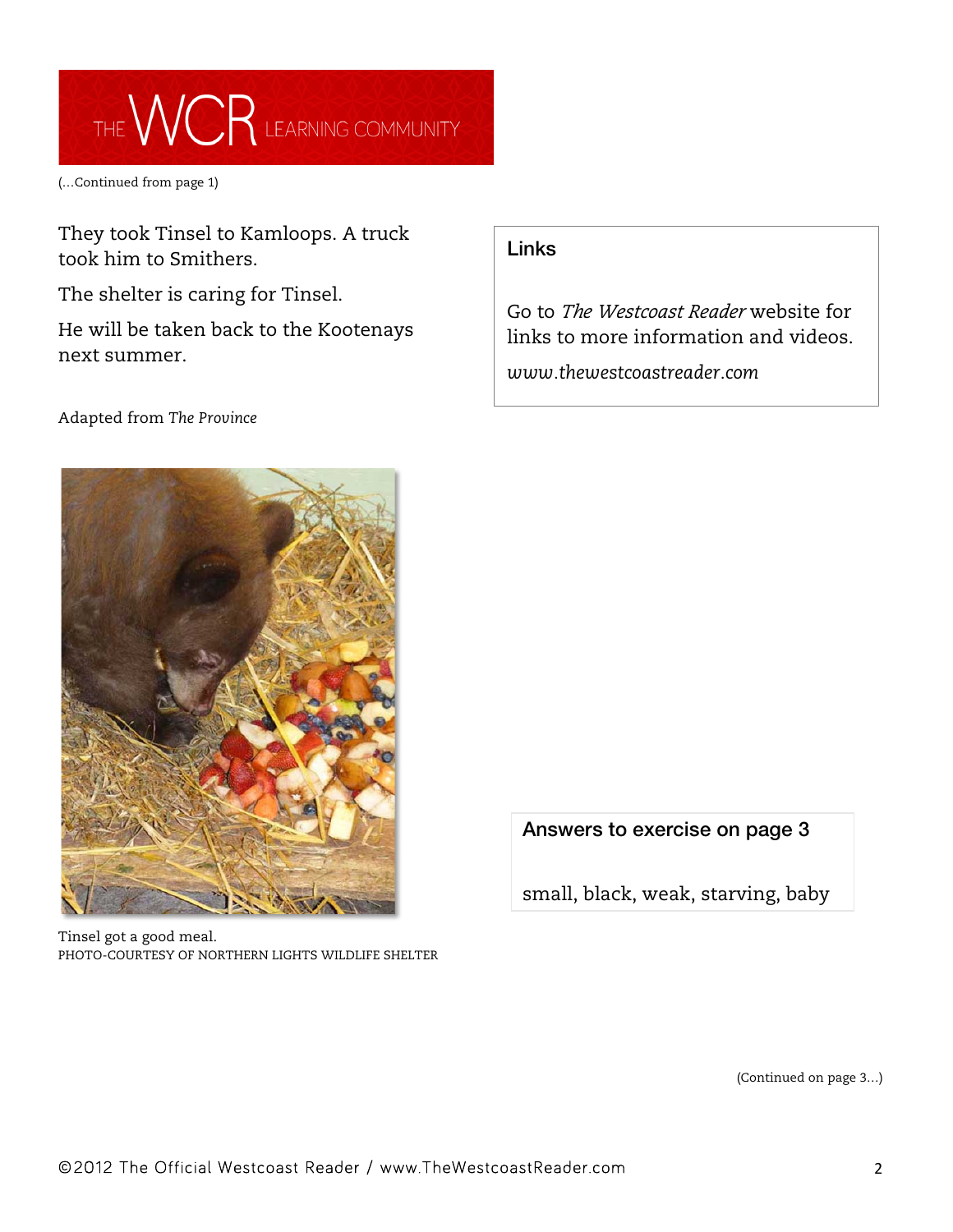

(…Continued from page 1)

They took Tinsel to Kamloops. A truck took him to Smithers.

The shelter is caring for Tinsel.

He will be taken back to the Kootenays next summer.

## Adapted from *The Province*

## Links

Go to *The Westcoast Reader* website for links to more information and videos.

*www.thewestcoastreader.com*



Tinsel got a good meal. PHOTO-COURTESY OF NORTHERN LIGHTS WILDLIFE SHELTER Answers to exercise on page 3

small, black, weak, starving, baby

(Continued on page 3…)